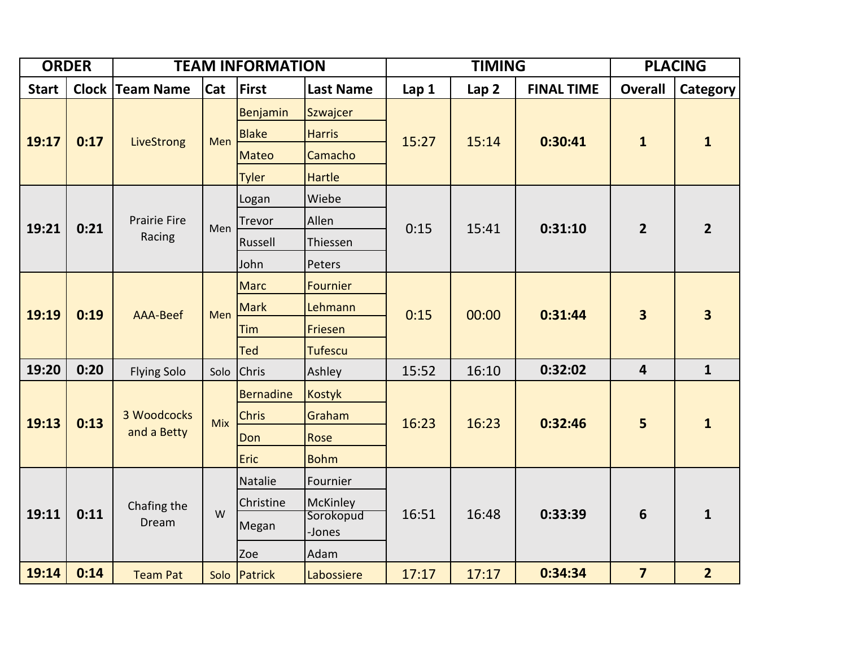| <b>ORDER</b> |              | <b>TEAM INFORMATION</b>       |            |                                                          |                                                         | <b>TIMING</b> |                  |                   | <b>PLACING</b>          |                         |
|--------------|--------------|-------------------------------|------------|----------------------------------------------------------|---------------------------------------------------------|---------------|------------------|-------------------|-------------------------|-------------------------|
| <b>Start</b> | <b>Clock</b> | <b>Team Name</b>              | <b>Cat</b> | First                                                    | <b>Last Name</b>                                        | Lap 1         | Lap <sub>2</sub> | <b>FINAL TIME</b> | <b>Overall</b>          | Category                |
| 19:17        | 0:17         | LiveStrong                    | Men        | Benjamin<br><b>Blake</b><br><b>Mateo</b><br><b>Tyler</b> | Szwajcer<br><b>Harris</b><br>Camacho<br><b>Hartle</b>   | 15:27         | 15:14            | 0:30:41           | $\mathbf{1}$            | $\mathbf{1}$            |
| 19:21        | 0:21         | <b>Prairie Fire</b><br>Racing | Men        | Logan<br>Trevor<br>Russell<br>John                       | Wiebe<br>Allen<br>Thiessen<br>Peters                    | 0:15          | 15:41            | 0:31:10           | $\overline{2}$          | $\overline{2}$          |
| 19:19        | 0:19         | <b>AAA-Beef</b>               | Men        | <b>Marc</b><br><b>Mark</b><br>Tim<br><b>Ted</b>          | <b>Fournier</b><br>Lehmann<br>Friesen<br><b>Tufescu</b> | 0:15          | 00:00            | 0:31:44           | $\overline{\mathbf{3}}$ | $\overline{\mathbf{3}}$ |
| 19:20        | 0:20         | <b>Flying Solo</b>            | Solo       | <b>Chris</b>                                             | Ashley                                                  | 15:52         | 16:10            | 0:32:02           | $\overline{4}$          | $\mathbf{1}$            |
| 19:13        | 0:13         | 3 Woodcocks<br>and a Betty    | Mix        | <b>Bernadine</b><br><b>Chris</b><br>Don<br>Eric          | Kostyk<br>Graham<br>Rose<br><b>Bohm</b>                 | 16:23         | 16:23            | 0:32:46           | 5                       | $\mathbf{1}$            |
| 19:11        | 0:11         | Chafing the<br>Dream          | W          | Natalie<br>Christine<br>Megan<br>Zoe                     | Fournier<br>McKinley<br>Sorokopud<br>-Jones<br>Adam     | 16:51         | 16:48            | 0:33:39           | 6                       | $\mathbf{1}$            |
| 19:14        | 0:14         | <b>Team Pat</b>               |            | Solo Patrick                                             | Labossiere                                              | 17:17         | 17:17            | 0:34:34           | $\overline{7}$          | $\overline{2}$          |